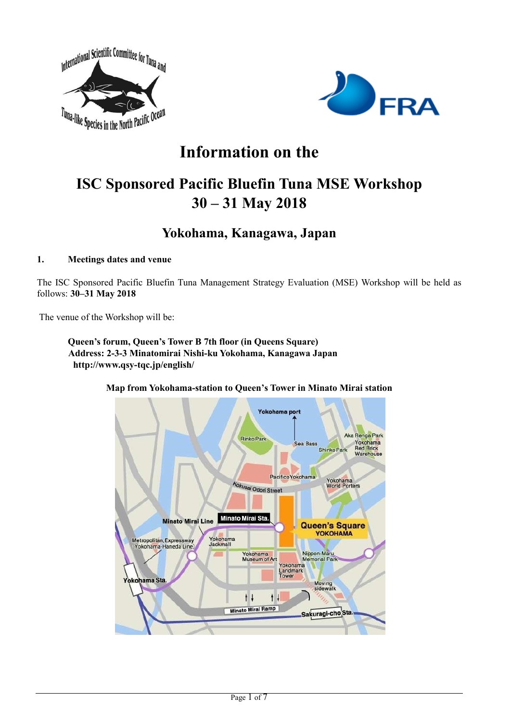



# **Information on the**

# **ISC Sponsored Pacific Bluefin Tuna MSE Workshop 30 – 31 May 2018**

# **Yokohama, Kanagawa, Japan**

## **1. Meetings dates and venue**

The ISC Sponsored Pacific Bluefin Tuna Management Strategy Evaluation (MSE) Workshop will be held as follows: **30–31 May 2018**

The venue of the Workshop will be:

**Queen's forum, Queen's Tower B 7th floor (in Queens Square) Address: 2-3-3 Minatomirai Nishi-ku Yokohama, Kanagawa Japan http://www.qsy-tqc.jp/english/**

> Yokohama port Aka Renga Park Rinko Park Yokohama<br>Red Brick<br>Warehouse Sea Bass Shinko Park PacificoYokohama Yokohama<br>World Porters Kokusai Odori Street Minato Mirai Sta **Minato Mirai Line Queen's Square** YOKOHAMA Yokohama<br>Jackmall Metropolitan, Expressway (Yokohama-Haneda Line) Nippon-Maru<br>Memorial Part Yokohama<br>Museum of Art Yokohama<br>Landmark<br>Tower kohama Sta Moving<br>sidewalk  $+1$  $1<sup>1</sup>$ **Minato Miral Ramp** Sakuragi-cho<sub>Sta.</sub>

**Map from Yokohama-station to Queen's Tower in Minato Mirai station**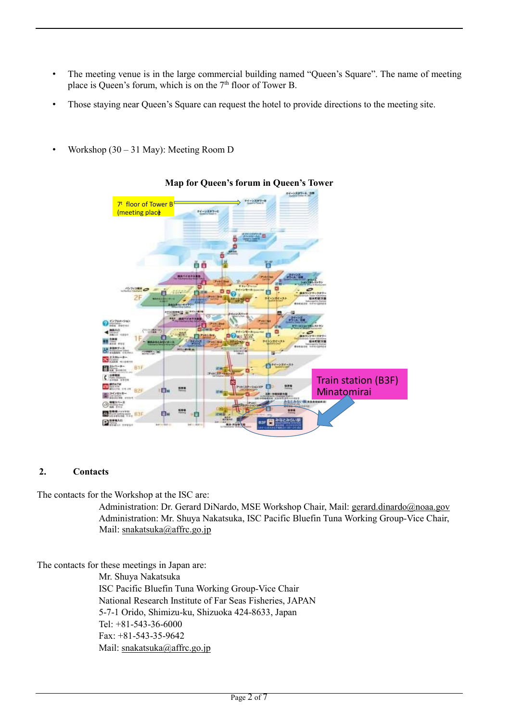- The meeting venue is in the large commercial building named "Queen's Square". The name of meeting place is Queen's forum, which is on the  $7<sup>th</sup>$  floor of Tower B.
- Those staying near Queen's Square can request the hotel to provide directions to the meeting site.
- Workshop (30 31 May): Meeting Room D



# **Map for Queen's forum in Queen's Tower**

#### **2. Contacts**

The contacts for the Workshop at the ISC are:

Administration: Dr. Gerard DiNardo, MSE Workshop Chair, Mail: [gerard.dinardo@noaa.gov](mailto:gerard.dinardo@noaa.gov) Administration: Mr. Shuya Nakatsuka, ISC Pacific Bluefin Tuna Working Group-Vice Chair, Mail: [snakatsuka@affrc.go.jp](mailto:snakatsuka@affrc.go.jp)

The contacts for these meetings in Japan are:

Mr. Shuya Nakatsuka ISC Pacific Bluefin Tuna Working Group-Vice Chair National Research Institute of Far Seas Fisheries, JAPAN 5-7-1 Orido, Shimizu-ku, Shizuoka 424-8633, Japan Tel: +81-543-36-6000 Fax: +81-543-35-9642 Mail: [snakatsuka@affrc.go.jp](mailto:snakatsuka@affrc.go.jp)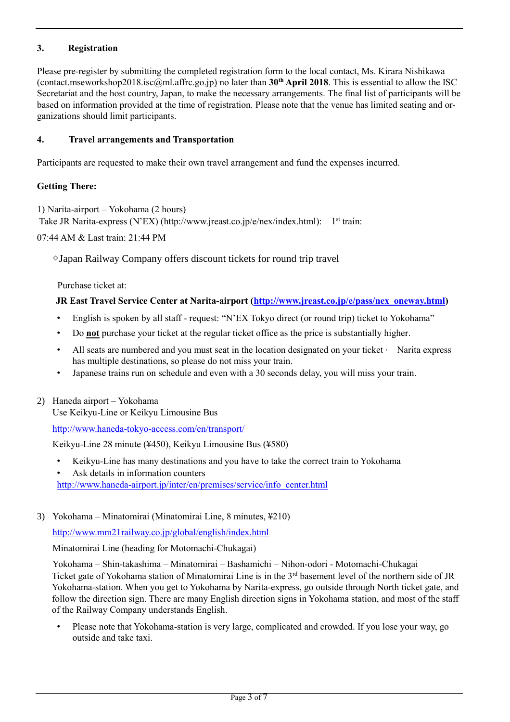# **3. Registration**

Please pre-register by submitting the completed registration form to the local contact, Ms. Kirara Nishikawa (contact.mseworkshop2018.isc@ml.affrc.go.jp) no later than **30th April 2018**. This is essential to allow the ISC Secretariat and the host country, Japan, to make the necessary arrangements. The final list of participants will be based on information provided at the time of registration. Please note that the venue has limited seating and organizations should limit participants.

## **4. Travel arrangements and Transportation**

Participants are requested to make their own travel arrangement and fund the expenses incurred.

## **Getting There:**

1) Narita-airport – Yokohama (2 hours) Take JR Narita-express (N'EX) [\(http://www.jreast.co.jp/e/nex/index.html](http://www.jreast.co.jp/e/nex/index.html)[\):](http://www.jreast.co.jp/e/routemaps/index.html) 1<sup>st</sup> train:

07:44 AM & Last train: 21:44 PM

◇Japan Railway Company offers discount tickets for round trip travel

Purchase ticket at:

#### **JR East Travel Service Center at Narita-airport [\(http://www.jreast.co.jp/e/pass/nex\\_oneway.html\)](http://www.jreast.co.jp/e/pass/nex_oneway.html)**

- English is spoken by all staff request: "N'EX Tokyo direct (or round trip) ticket to Yokohama"
- Do **not** purchase your ticket at the regular ticket office as the price is substantially higher.
- All seats are numbered and you must seat in the location designated on your ticket  $\cdot$  Narita express has multiple destinations, so please do not miss your train.
- Japanese trains run on schedule and even with a 30 seconds delay, you will miss your train.
- 2) Haneda airport Yokohama

Use Keikyu-Line or Keikyu Limousine Bus

http://www.haneda-tokyo-access.com/en/transport/

Keikyu-Line 28 minute (¥450), Keikyu Limousine Bus (¥580)

- Keikyu-Line has many destinations and you have to take the correct train to Yokohama
- Ask details in information counters

[http://www.haneda-airport.jp/inter/en/premises/service/info\\_center.html](http://www.haneda-airport.jp/inter/en/premises/service/info_center.html)

3) Yokohama – Minatomirai (Minatomirai Line, 8 minutes, ¥210)

<http://www.mm21railway.co.jp/global/english/index.html>

Minatomirai Line (heading for Motomachi-Chukagai)

Yokohama – Shin-takashima – Minatomirai – Bashamichi – Nihon-odori - Motomachi-Chukagai Ticket gate of Yokohama station of Minatomirai Line is in the 3<sup>rd</sup> basement level of the northern side of JR Yokohama-station. When you get to Yokohama by Narita-express, go outside through North ticket gate, and follow the direction sign. There are many English direction signs in Yokohama station, and most of the staff of the Railway Company understands English.

• Please note that Yokohama-station is very large, complicated and crowded. If you lose your way, go outside and take taxi.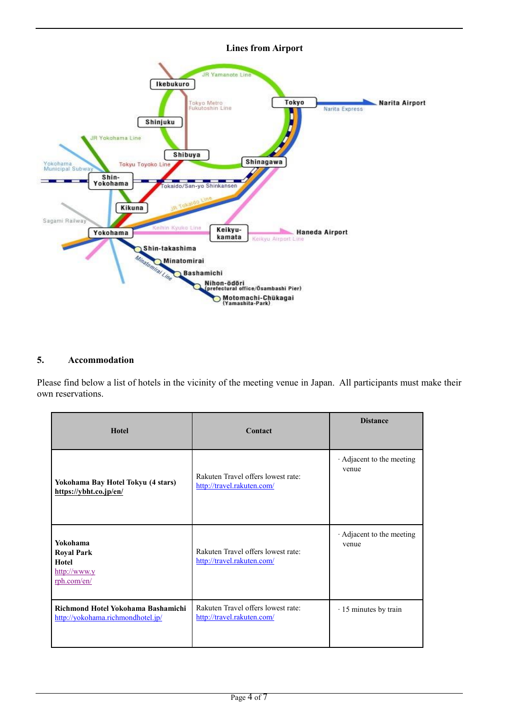

#### **5. Accommodation**

Please find below a list of hotels in the vicinity of the meeting venue in Japan. All participants must make their own reservations.

| <b>Hotel</b>                                                                    | Contact                                                          | <b>Distance</b>                  |
|---------------------------------------------------------------------------------|------------------------------------------------------------------|----------------------------------|
| Yokohama Bay Hotel Tokyu (4 stars)<br>https://ybht.co.jp/en/                    | Rakuten Travel offers lowest rate:<br>http://travel.rakuten.com/ | Adjacent to the meeting<br>venue |
| Yokohama<br><b>Royal Park</b><br>Hotel<br>$\frac{http://www.y}{$<br>rph.com/en/ | Rakuten Travel offers lowest rate:<br>http://travel.rakuten.com/ | Adjacent to the meeting<br>venue |
| Richmond Hotel Yokohama Bashamichi<br>http://yokohama.richmondhotel.jp/         | Rakuten Travel offers lowest rate:<br>http://travel.rakuten.com/ | $\cdot$ 15 minutes by train      |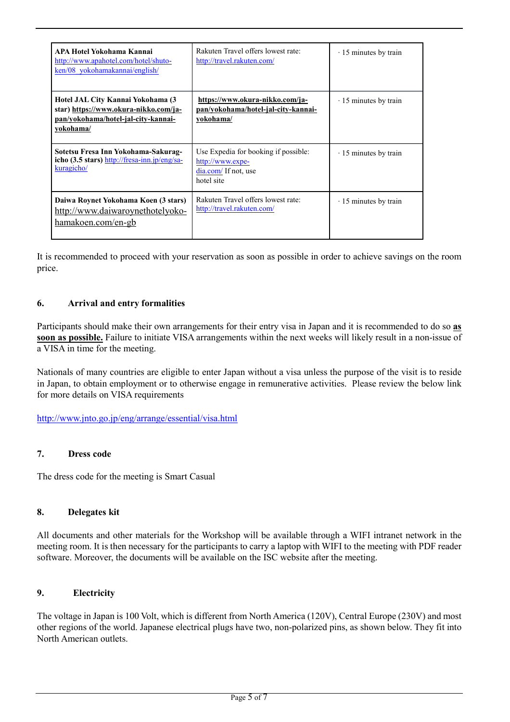| <b>APA Hotel Yokohama Kannai</b><br>http://www.apahotel.com/hotel/shuto-<br>ken/08 yokohamakannai/english/                     | Rakuten Travel offers lowest rate:<br>http://travel.rakuten.com/                               | $\cdot$ 15 minutes by train |
|--------------------------------------------------------------------------------------------------------------------------------|------------------------------------------------------------------------------------------------|-----------------------------|
| Hotel JAL City Kannai Yokohama (3<br>star) https://www.okura-nikko.com/ja-<br>pan/yokohama/hotel-jal-city-kannai-<br>yokohama/ | https://www.okura-nikko.com/ja-<br>pan/yokohama/hotel-jal-city-kannai-<br>vokohama/            | $\cdot$ 15 minutes by train |
| Sotetsu Fresa Inn Yokohama-Sakurag-<br>icho $(3.5 \text{ stars})$ http://fresa-inn.jp/eng/sa-<br>kuragicho/                    | Use Expedia for booking if possible:<br>http://www.expe-<br>dia.com/ If not, use<br>hotel site | $\cdot$ 15 minutes by train |
| Daiwa Roynet Yokohama Koen (3 stars)<br>http://www.daiwaroynethotelyoko-<br>hamakoen.com/en-gb                                 | Rakuten Travel offers lowest rate:<br>http://travel.rakuten.com/                               | $\cdot$ 15 minutes by train |

It is recommended to proceed with your reservation as soon as possible in order to achieve savings on the room price.

#### **6. Arrival and entry formalities**

Participants should make their own arrangements for their entry visa in Japan and it is recommended to do so **as soon as possible.** Failure to initiate VISA arrangements within the next weeks will likely result in a non-issue of a VISA in time for the meeting.

Nationals of many countries are eligible to enter Japan without a visa unless the purpose of the visit is to reside in Japan, to obtain employment or to otherwise engage in remunerative activities. Please review the below link for more details on VISA requirements

<http://www.jnto.go.jp/eng/arrange/essential/visa.html>

#### **7. Dress code**

The dress code for the meeting is Smart Casual

#### **8. Delegates kit**

All documents and other materials for the Workshop will be available through a WIFI intranet network in the meeting room. It is then necessary for the participants to carry a laptop with WIFI to the meeting with PDF reader software. Moreover, the documents will be available on the ISC website after the meeting.

#### **9. Electricity**

The voltage in Japan is 100 Volt, which is different from North America (120V), Central Europe (230V) and most other regions of the world. Japanese electrical plugs have two, non-polarized pins, as shown below. They fit into North American outlets.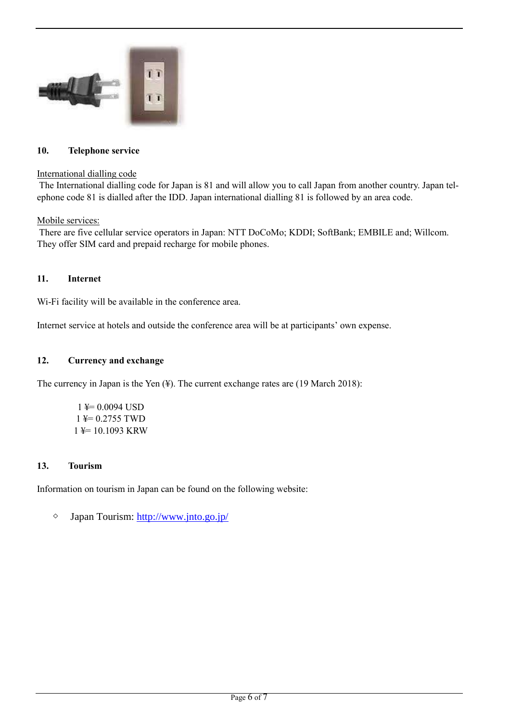

#### **10. Telephone service**

#### International dialling code

The International dialling code for Japan is 81 and will allow you to call Japan from another country. Japan telephone code 81 is dialled after the IDD. Japan international dialling 81 is followed by an area code.

#### Mobile services:

There are five cellular service operators in Japan: NTT DoCoMo; KDDI; SoftBank; EMBILE and; Willcom. They offer SIM card and prepaid recharge for mobile phones.

#### **11. Internet**

Wi-Fi facility will be available in the conference area.

Internet service at hotels and outside the conference area will be at participants' own expense.

#### **12. Currency and exchange**

The currency in Japan is the Yen (¥). The current exchange rates are (19 March 2018):

 $1 \neq 0.0094$  USD 1 ¥= 0.2755 TWD 1 ¥= 10.1093 KRW

#### **13. Tourism**

Information on tourism in Japan can be found on the following website:

◇ Japan Tourism: <http://www.jnto.go.jp/>